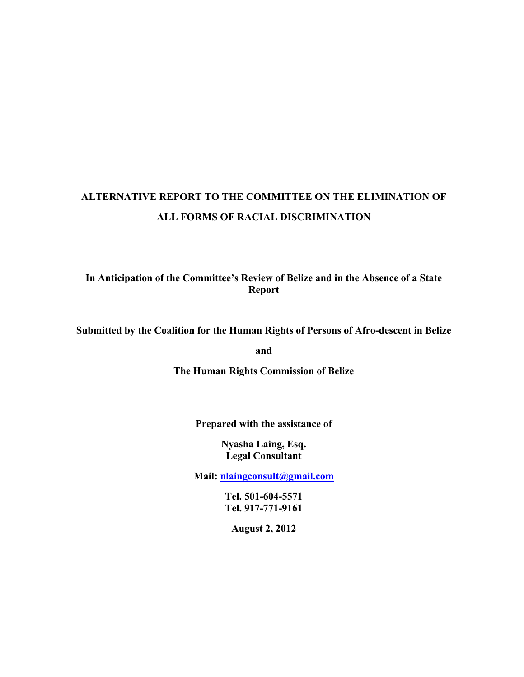# **ALTERNATIVE REPORT TO THE COMMITTEE ON THE ELIMINATION OF ALL FORMS OF RACIAL DISCRIMINATION**

**In Anticipation of the Committee's Review of Belize and in the Absence of a State Report**

## **Submitted by the Coalition for the Human Rights of Persons of Afro-descent in Belize**

**and**

**The Human Rights Commission of Belize**

**Prepared with the assistance of**

**Nyasha Laing, Esq. Legal Consultant**

**Mail: nlaingconsult@gmail.com**

**Tel. 501-604-5571 Tel. 917-771-9161**

**August 2, 2012**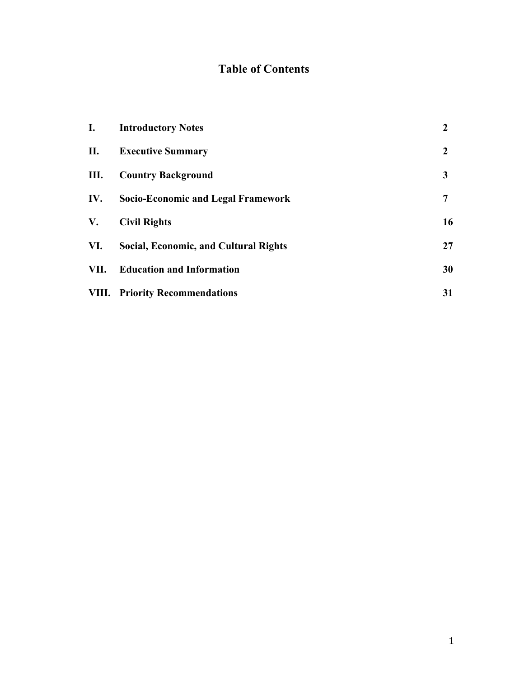## **Table of Contents**

| I.   | <b>Introductory Notes</b>                    | $\overline{2}$ |
|------|----------------------------------------------|----------------|
| П.   | <b>Executive Summary</b>                     | $\mathbf{2}$   |
| Ш.   | <b>Country Background</b>                    | 3              |
| IV.  | Socio-Economic and Legal Framework           | 7              |
| V.   | <b>Civil Rights</b>                          | 16             |
| VI.  | <b>Social, Economic, and Cultural Rights</b> | 27             |
| VII. | <b>Education and Information</b>             | 30             |
|      | <b>VIII.</b> Priority Recommendations        | 31             |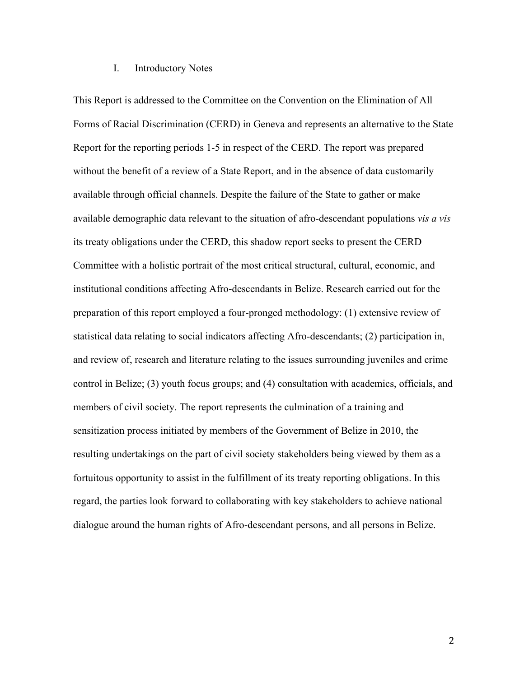#### I. Introductory Notes

This Report is addressed to the Committee on the Convention on the Elimination of All Forms of Racial Discrimination (CERD) in Geneva and represents an alternative to the State Report for the reporting periods 1-5 in respect of the CERD. The report was prepared without the benefit of a review of a State Report, and in the absence of data customarily available through official channels. Despite the failure of the State to gather or make available demographic data relevant to the situation of afro-descendant populations *vis a vis*  its treaty obligations under the CERD, this shadow report seeks to present the CERD Committee with a holistic portrait of the most critical structural, cultural, economic, and institutional conditions affecting Afro-descendants in Belize. Research carried out for the preparation of this report employed a four-pronged methodology: (1) extensive review of statistical data relating to social indicators affecting Afro-descendants; (2) participation in, and review of, research and literature relating to the issues surrounding juveniles and crime control in Belize; (3) youth focus groups; and (4) consultation with academics, officials, and members of civil society. The report represents the culmination of a training and sensitization process initiated by members of the Government of Belize in 2010, the resulting undertakings on the part of civil society stakeholders being viewed by them as a fortuitous opportunity to assist in the fulfillment of its treaty reporting obligations. In this regard, the parties look forward to collaborating with key stakeholders to achieve national dialogue around the human rights of Afro-descendant persons, and all persons in Belize.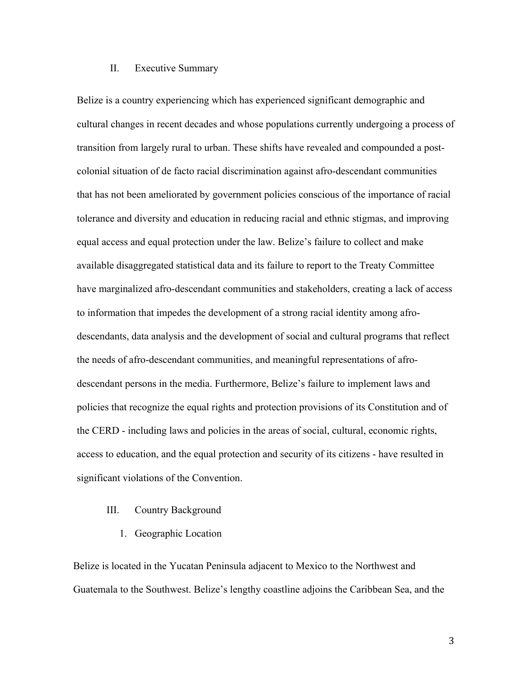## II. Executive Summary

Belize is a country experiencing which has experienced significant demographic and cultural changes in recent decades and whose populations currently undergoing a process of transition from largely rural to urban. These shifts have revealed and compounded a postcolonial situation of de facto racial discrimination against afro-descendant communities that has not been ameliorated by government policies conscious of the importance of racial tolerance and diversity and education in reducing racial and ethnic stigmas, and improving equal access and equal protection under the law. Belize's failure to collect and make available disaggregated statistical data and its failure to report to the Treaty Committee have marginalized afro-descendant communities and stakeholders, creating a lack of access to information that impedes the development of a strong racial identity among afrodescendants, data analysis and the development of social and cultural programs that reflect the needs of afro-descendant communities, and meaningful representations of afrodescendant persons in the media. Furthermore, Belize's failure to implement laws and policies that recognize the equal rights and protection provisions of its Constitution and of the CERD - including laws and policies in the areas of social, cultural, economic rights, access to education, and the equal protection and security of its citizens - have resulted in significant violations of the Convention.

### III. Country Background

1. Geographic Location

Belize is located in the Yucatan Peninsula adjacent to Mexico to the Northwest and Guatemala to the Southwest. Belize's lengthy coastline adjoins the Caribbean Sea, and the

3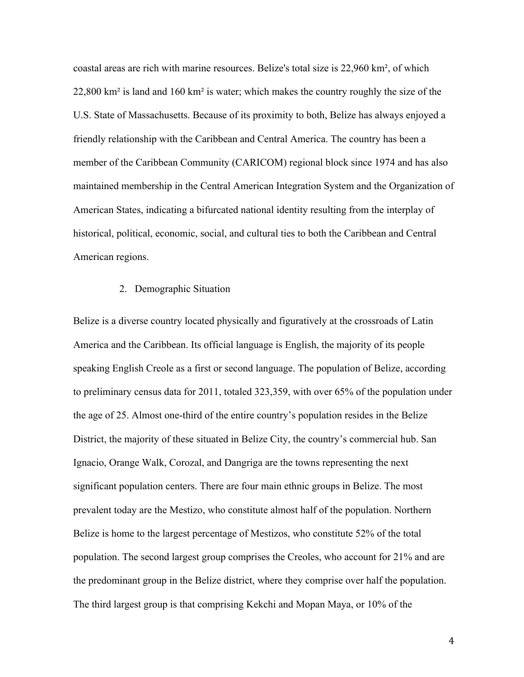coastal areas are rich with marine resources. Belize's total size is 22,960 km², of which 22,800 km<sup>2</sup> is land and 160 km<sup>2</sup> is water; which makes the country roughly the size of the U.S. State of Massachusetts. Because of its proximity to both, Belize has always enjoyed a friendly relationship with the Caribbean and Central America. The country has been a member of the Caribbean Community (CARICOM) regional block since 1974 and has also maintained membership in the Central American Integration System and the Organization of American States, indicating a bifurcated national identity resulting from the interplay of historical, political, economic, social, and cultural ties to both the Caribbean and Central American regions.

#### 2. Demographic Situation

Belize is a diverse country located physically and figuratively at the crossroads of Latin America and the Caribbean. Its official language is English, the majority of its people speaking English Creole as a first or second language. The population of Belize, according to preliminary census data for 2011, totaled 323,359, with over 65% of the population under the age of 25. Almost one-third of the entire country's population resides in the Belize District, the majority of these situated in Belize City, the country's commercial hub. San Ignacio, Orange Walk, Corozal, and Dangriga are the towns representing the next significant population centers. There are four main ethnic groups in Belize. The most prevalent today are the Mestizo, who constitute almost half of the population. Northern Belize is home to the largest percentage of Mestizos, who constitute 52% of the total population. The second largest group comprises the Creoles, who account for 21% and are the predominant group in the Belize district, where they comprise over half the population. The third largest group is that comprising Kekchi and Mopan Maya, or 10% of the

4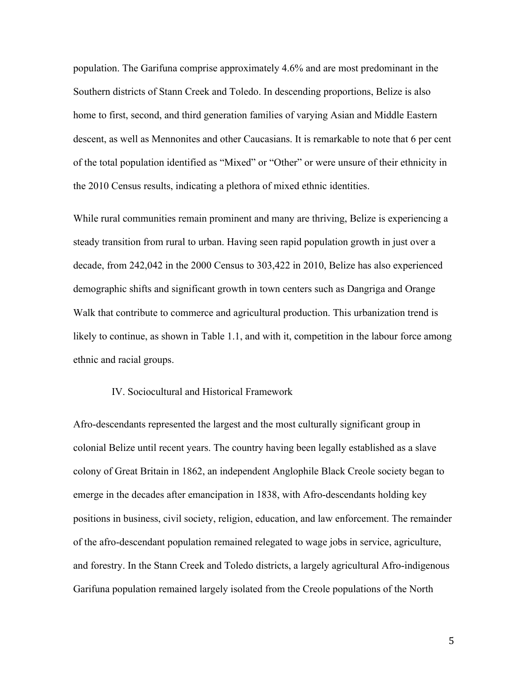population. The Garifuna comprise approximately 4.6% and are most predominant in the Southern districts of Stann Creek and Toledo. In descending proportions, Belize is also home to first, second, and third generation families of varying Asian and Middle Eastern descent, as well as Mennonites and other Caucasians. It is remarkable to note that 6 per cent of the total population identified as "Mixed" or "Other" or were unsure of their ethnicity in the 2010 Census results, indicating a plethora of mixed ethnic identities.

While rural communities remain prominent and many are thriving, Belize is experiencing a steady transition from rural to urban. Having seen rapid population growth in just over a decade, from 242,042 in the 2000 Census to 303,422 in 2010, Belize has also experienced demographic shifts and significant growth in town centers such as Dangriga and Orange Walk that contribute to commerce and agricultural production. This urbanization trend is likely to continue, as shown in Table 1.1, and with it, competition in the labour force among ethnic and racial groups.

## IV. Sociocultural and Historical Framework

Afro-descendants represented the largest and the most culturally significant group in colonial Belize until recent years. The country having been legally established as a slave colony of Great Britain in 1862, an independent Anglophile Black Creole society began to emerge in the decades after emancipation in 1838, with Afro-descendants holding key positions in business, civil society, religion, education, and law enforcement. The remainder of the afro-descendant population remained relegated to wage jobs in service, agriculture, and forestry. In the Stann Creek and Toledo districts, a largely agricultural Afro-indigenous Garifuna population remained largely isolated from the Creole populations of the North

5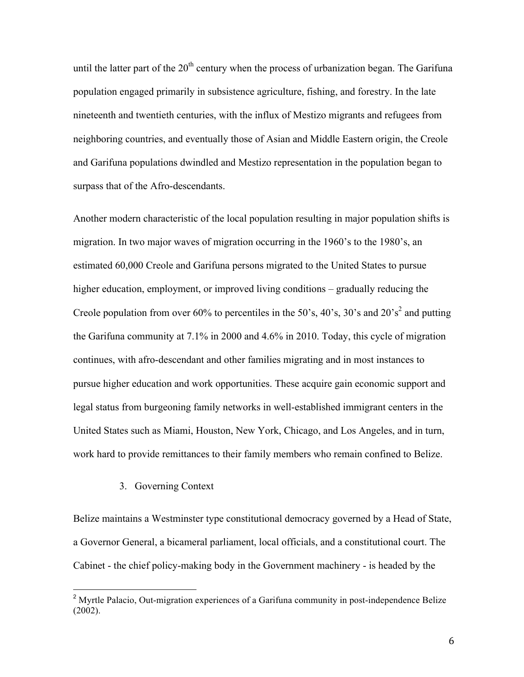until the latter part of the  $20<sup>th</sup>$  century when the process of urbanization began. The Garifuna population engaged primarily in subsistence agriculture, fishing, and forestry. In the late nineteenth and twentieth centuries, with the influx of Mestizo migrants and refugees from neighboring countries, and eventually those of Asian and Middle Eastern origin, the Creole and Garifuna populations dwindled and Mestizo representation in the population began to surpass that of the Afro-descendants.

Another modern characteristic of the local population resulting in major population shifts is migration. In two major waves of migration occurring in the 1960's to the 1980's, an estimated 60,000 Creole and Garifuna persons migrated to the United States to pursue higher education, employment, or improved living conditions – gradually reducing the Creole population from over 60% to percentiles in the 50's, 40's, 30's and  $20's<sup>2</sup>$  and putting the Garifuna community at 7.1% in 2000 and 4.6% in 2010. Today, this cycle of migration continues, with afro-descendant and other families migrating and in most instances to pursue higher education and work opportunities. These acquire gain economic support and legal status from burgeoning family networks in well-established immigrant centers in the United States such as Miami, Houston, New York, Chicago, and Los Angeles, and in turn, work hard to provide remittances to their family members who remain confined to Belize.

## 3. Governing Context

!!!!!!!!!!!!!!!!!!!!!!!!!!!!!!!!!!!!!!!!!!!!!!!!!!!!!!!

Belize maintains a Westminster type constitutional democracy governed by a Head of State, a Governor General, a bicameral parliament, local officials, and a constitutional court. The Cabinet - the chief policy-making body in the Government machinery - is headed by the

<sup>&</sup>lt;sup>2</sup> Myrtle Palacio, Out-migration experiences of a Garifuna community in post-independence Belize (2002).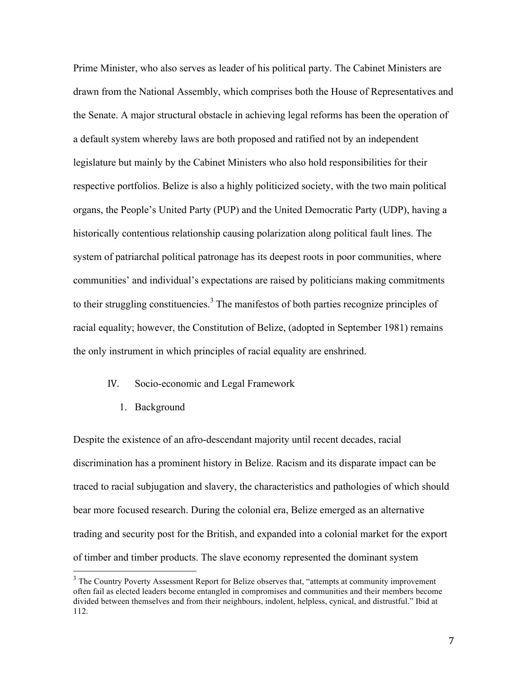Prime Minister, who also serves as leader of his political party. The Cabinet Ministers are drawn from the National Assembly, which comprises both the House of Representatives and the Senate. A major structural obstacle in achieving legal reforms has been the operation of a default system whereby laws are both proposed and ratified not by an independent legislature but mainly by the Cabinet Ministers who also hold responsibilities for their respective portfolios. Belize is also a highly politicized society, with the two main political organs, the People's United Party (PUP) and the United Democratic Party (UDP), having a historically contentious relationship causing polarization along political fault lines. The system of patriarchal political patronage has its deepest roots in poor communities, where communities' and individual's expectations are raised by politicians making commitments to their struggling constituencies.<sup>3</sup> The manifestos of both parties recognize principles of racial equality; however, the Constitution of Belize, (adopted in September 1981) remains the only instrument in which principles of racial equality are enshrined.

### IV. Socio-economic and Legal Framework

1. Background

!!!!!!!!!!!!!!!!!!!!!!!!!!!!!!!!!!!!!!!!!!!!!!!!!!!!!!!

Despite the existence of an afro-descendant majority until recent decades, racial discrimination has a prominent history in Belize. Racism and its disparate impact can be traced to racial subjugation and slavery, the characteristics and pathologies of which should bear more focused research. During the colonial era, Belize emerged as an alternative trading and security post for the British, and expanded into a colonial market for the export of timber and timber products. The slave economy represented the dominant system

<sup>&</sup>lt;sup>3</sup> The Country Poverty Assessment Report for Belize observes that, "attempts at community improvement often fail as elected leaders become entangled in compromises and communities and their members become divided between themselves and from their neighbours, indolent, helpless, cynical, and distrustful." Ibid at 112.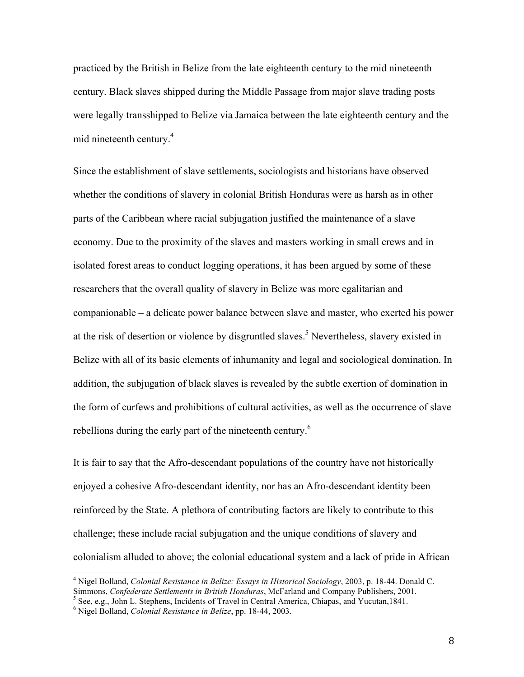practiced by the British in Belize from the late eighteenth century to the mid nineteenth century. Black slaves shipped during the Middle Passage from major slave trading posts were legally transshipped to Belize via Jamaica between the late eighteenth century and the mid nineteenth century. 4

Since the establishment of slave settlements, sociologists and historians have observed whether the conditions of slavery in colonial British Honduras were as harsh as in other parts of the Caribbean where racial subjugation justified the maintenance of a slave economy. Due to the proximity of the slaves and masters working in small crews and in isolated forest areas to conduct logging operations, it has been argued by some of these researchers that the overall quality of slavery in Belize was more egalitarian and companionable – a delicate power balance between slave and master, who exerted his power at the risk of desertion or violence by disgruntled slaves.<sup>5</sup> Nevertheless, slavery existed in Belize with all of its basic elements of inhumanity and legal and sociological domination. In addition, the subjugation of black slaves is revealed by the subtle exertion of domination in the form of curfews and prohibitions of cultural activities, as well as the occurrence of slave rebellions during the early part of the nineteenth century.<sup>6</sup>

It is fair to say that the Afro-descendant populations of the country have not historically enjoyed a cohesive Afro-descendant identity, nor has an Afro-descendant identity been reinforced by the State. A plethora of contributing factors are likely to contribute to this challenge; these include racial subjugation and the unique conditions of slavery and colonialism alluded to above; the colonial educational system and a lack of pride in African

<sup>&</sup>lt;sup>4</sup> Nigel Bolland, *Colonial Resistance in Belize: Essays in Historical Sociology*, 2003, p. 18-44. Donald C. Simmons, *Confederate Settlements in British Honduras*, McFarland and Company Publishers, 2001.

<sup>&</sup>lt;sup>5</sup> See, e.g., John L. Stephens, Incidents of Travel in Central America, Chiapas, and Yucutan,1841.

<sup>6</sup> Nigel Bolland, *Colonial Resistance in Belize*, pp. 18-44, 2003.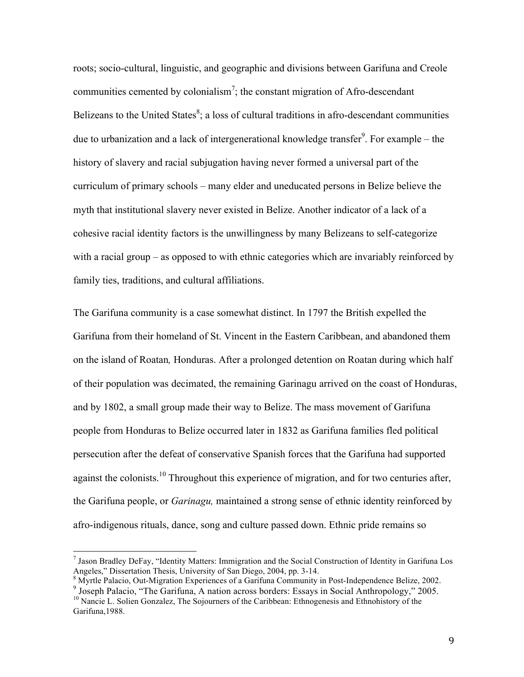roots; socio-cultural, linguistic, and geographic and divisions between Garifuna and Creole communities cemented by colonialism<sup>7</sup>; the constant migration of Afro-descendant Belizeans to the United States<sup>8</sup>; a loss of cultural traditions in afro-descendant communities due to urbanization and a lack of intergenerational knowledge transfer<sup>9</sup>. For example – the history of slavery and racial subjugation having never formed a universal part of the curriculum of primary schools – many elder and uneducated persons in Belize believe the myth that institutional slavery never existed in Belize. Another indicator of a lack of a cohesive racial identity factors is the unwillingness by many Belizeans to self-categorize with a racial group – as opposed to with ethnic categories which are invariably reinforced by family ties, traditions, and cultural affiliations.

The Garifuna community is a case somewhat distinct. In 1797 the British expelled the Garifuna from their homeland of St. Vincent in the Eastern Caribbean, and abandoned them on the island of Roatan*,* Honduras. After a prolonged detention on Roatan during which half of their population was decimated, the remaining Garinagu arrived on the coast of Honduras, and by 1802, a small group made their way to Belize. The mass movement of Garifuna people from Honduras to Belize occurred later in 1832 as Garifuna families fled political persecution after the defeat of conservative Spanish forces that the Garifuna had supported against the colonists.<sup>10</sup> Throughout this experience of migration, and for two centuries after, the Garifuna people, or *Garinagu,* maintained a strong sense of ethnic identity reinforced by afro-indigenous rituals, dance, song and culture passed down. Ethnic pride remains so

<sup>&</sup>lt;sup>7</sup> Jason Bradley DeFay, "Identity Matters: Immigration and the Social Construction of Identity in Garifuna Los Angeles." Dissertation Thesis. University of San Diego. 2004. pp. 3-14.

<sup>&</sup>lt;sup>8</sup> Myrtle Palacio, Out-Migration Experiences of a Garifuna Community in Post-Independence Belize, 2002.<br><sup>9</sup> Joseph Palacio, "The Garifuna, A nation across borders: Essays in Social Anthropology," 2005. <sup>10</sup> Nancie L. Solien Gonzalez, The Sojourners of the Caribbean: Ethnogenesis and Ethnohistory of the

Garifuna,1988.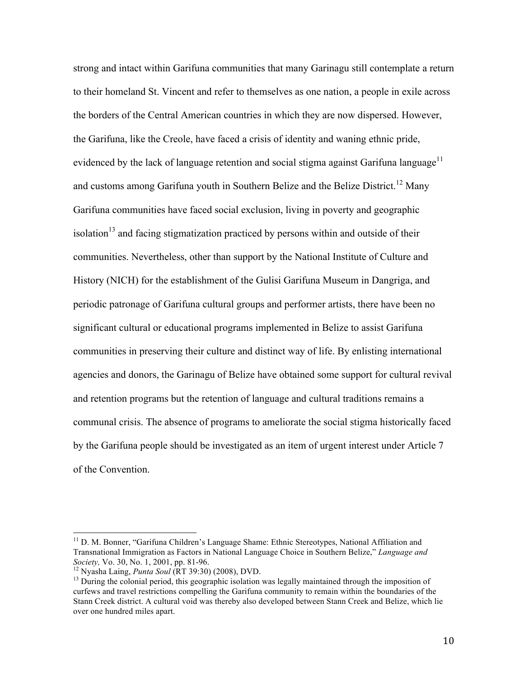strong and intact within Garifuna communities that many Garinagu still contemplate a return to their homeland St. Vincent and refer to themselves as one nation, a people in exile across the borders of the Central American countries in which they are now dispersed. However, the Garifuna, like the Creole, have faced a crisis of identity and waning ethnic pride, evidenced by the lack of language retention and social stigma against Garifuna language<sup>11</sup> and customs among Garifuna youth in Southern Belize and the Belize District.<sup>12</sup> Many Garifuna communities have faced social exclusion, living in poverty and geographic isolation<sup>13</sup> and facing stigmatization practiced by persons within and outside of their communities. Nevertheless, other than support by the National Institute of Culture and History (NICH) for the establishment of the Gulisi Garifuna Museum in Dangriga, and periodic patronage of Garifuna cultural groups and performer artists, there have been no significant cultural or educational programs implemented in Belize to assist Garifuna communities in preserving their culture and distinct way of life. By enlisting international agencies and donors, the Garinagu of Belize have obtained some support for cultural revival and retention programs but the retention of language and cultural traditions remains a communal crisis. The absence of programs to ameliorate the social stigma historically faced by the Garifuna people should be investigated as an item of urgent interest under Article 7 of the Convention.

 $11$  D. M. Bonner, "Garifuna Children's Language Shame: Ethnic Stereotypes, National Affiliation and Transnational Immigration as Factors in National Language Choice in Southern Belize," *Language and Society, Vo.* 30, No. 1, 2001, pp. 81-96.<br><sup>12</sup> Nyasha Laing, *Punta Soul* (RT 39:30) (2008), DVD.<br><sup>13</sup> During the colonial period, this geographic isolation was legally maintained through the imposition of

curfews and travel restrictions compelling the Garifuna community to remain within the boundaries of the Stann Creek district. A cultural void was thereby also developed between Stann Creek and Belize, which lie over one hundred miles apart.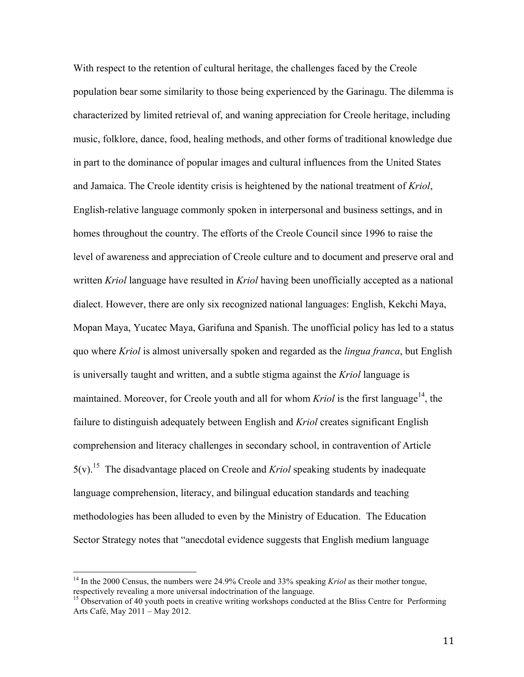With respect to the retention of cultural heritage, the challenges faced by the Creole population bear some similarity to those being experienced by the Garinagu. The dilemma is characterized by limited retrieval of, and waning appreciation for Creole heritage, including music, folklore, dance, food, healing methods, and other forms of traditional knowledge due in part to the dominance of popular images and cultural influences from the United States and Jamaica. The Creole identity crisis is heightened by the national treatment of *Kriol*, English-relative language commonly spoken in interpersonal and business settings, and in homes throughout the country. The efforts of the Creole Council since 1996 to raise the level of awareness and appreciation of Creole culture and to document and preserve oral and written *Kriol* language have resulted in *Kriol* having been unofficially accepted as a national dialect. However, there are only six recognized national languages: English, Kekchi Maya, Mopan Maya, Yucatec Maya, Garifuna and Spanish. The unofficial policy has led to a status quo where *Kriol* is almost universally spoken and regarded as the *lingua franca*, but English is universally taught and written, and a subtle stigma against the *Kriol* language is maintained. Moreover, for Creole youth and all for whom *Kriol* is the first language<sup>14</sup>, the failure to distinguish adequately between English and *Kriol* creates significant English comprehension and literacy challenges in secondary school, in contravention of Article 5(v).<sup>15</sup> The disadvantage placed on Creole and *Kriol* speaking students by inadequate language comprehension, literacy, and bilingual education standards and teaching methodologies has been alluded to even by the Ministry of Education. The Education Sector Strategy notes that "anecdotal evidence suggests that English medium language

<sup>&</sup>lt;sup>14</sup> In the 2000 Census, the numbers were 24.9% Creole and 33% speaking *Kriol* as their mother tongue, respectively revealing a more universal indoctrination of the language.<br><sup>15</sup> Observation of 40 youth poets in creative writing workshops conducted at the Bliss Centre for Performing

Arts Café, May 2011 – May 2012.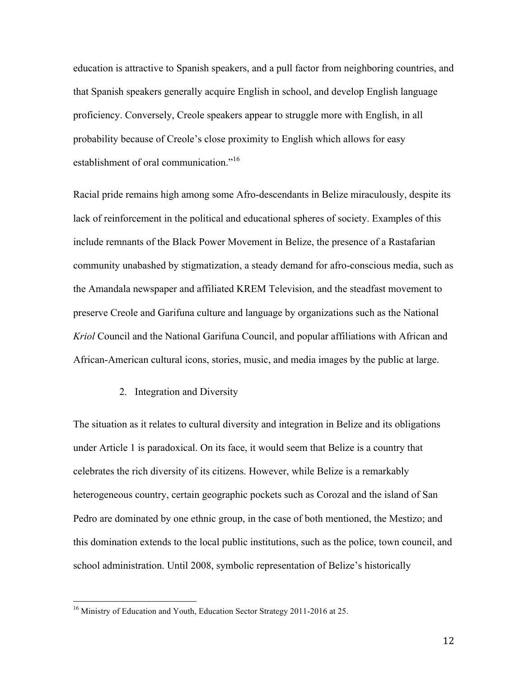education is attractive to Spanish speakers, and a pull factor from neighboring countries, and that Spanish speakers generally acquire English in school, and develop English language proficiency. Conversely, Creole speakers appear to struggle more with English, in all probability because of Creole's close proximity to English which allows for easy establishment of oral communication."<sup>16</sup>

Racial pride remains high among some Afro-descendants in Belize miraculously, despite its lack of reinforcement in the political and educational spheres of society. Examples of this include remnants of the Black Power Movement in Belize, the presence of a Rastafarian community unabashed by stigmatization, a steady demand for afro-conscious media, such as the Amandala newspaper and affiliated KREM Television, and the steadfast movement to preserve Creole and Garifuna culture and language by organizations such as the National *Kriol* Council and the National Garifuna Council, and popular affiliations with African and African-American cultural icons, stories, music, and media images by the public at large.

## 2. Integration and Diversity

The situation as it relates to cultural diversity and integration in Belize and its obligations under Article 1 is paradoxical. On its face, it would seem that Belize is a country that celebrates the rich diversity of its citizens. However, while Belize is a remarkably heterogeneous country, certain geographic pockets such as Corozal and the island of San Pedro are dominated by one ethnic group, in the case of both mentioned, the Mestizo; and this domination extends to the local public institutions, such as the police, town council, and school administration. Until 2008, symbolic representation of Belize's historically

<sup>&</sup>lt;sup>16</sup> Ministry of Education and Youth, Education Sector Strategy 2011-2016 at 25.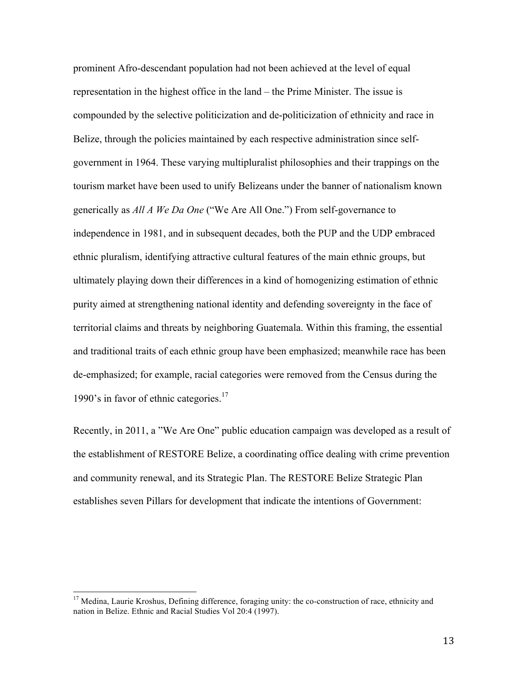prominent Afro-descendant population had not been achieved at the level of equal representation in the highest office in the land – the Prime Minister. The issue is compounded by the selective politicization and de-politicization of ethnicity and race in Belize, through the policies maintained by each respective administration since selfgovernment in 1964. These varying multipluralist philosophies and their trappings on the tourism market have been used to unify Belizeans under the banner of nationalism known generically as *All A We Da One* ("We Are All One.") From self-governance to independence in 1981, and in subsequent decades, both the PUP and the UDP embraced ethnic pluralism, identifying attractive cultural features of the main ethnic groups, but ultimately playing down their differences in a kind of homogenizing estimation of ethnic purity aimed at strengthening national identity and defending sovereignty in the face of territorial claims and threats by neighboring Guatemala. Within this framing, the essential and traditional traits of each ethnic group have been emphasized; meanwhile race has been de-emphasized; for example, racial categories were removed from the Census during the 1990's in favor of ethnic categories. 17

Recently, in 2011, a "We Are One" public education campaign was developed as a result of the establishment of RESTORE Belize, a coordinating office dealing with crime prevention and community renewal, and its Strategic Plan. The RESTORE Belize Strategic Plan establishes seven Pillars for development that indicate the intentions of Government:

<sup>&</sup>lt;sup>17</sup> Medina, Laurie Kroshus, Defining difference, foraging unity: the co-construction of race, ethnicity and nation in Belize. Ethnic and Racial Studies Vol 20:4 (1997).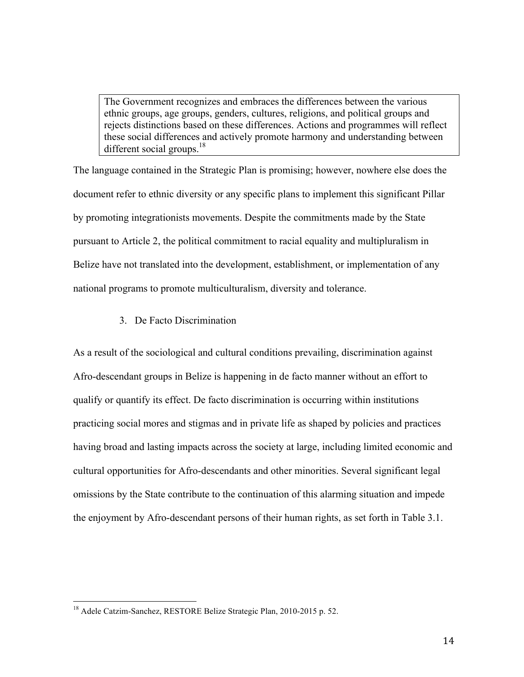The Government recognizes and embraces the differences between the various ethnic groups, age groups, genders, cultures, religions, and political groups and rejects distinctions based on these differences. Actions and programmes will reflect these social differences and actively promote harmony and understanding between different social groups.<sup>18</sup>

The language contained in the Strategic Plan is promising; however, nowhere else does the document refer to ethnic diversity or any specific plans to implement this significant Pillar by promoting integrationists movements. Despite the commitments made by the State pursuant to Article 2, the political commitment to racial equality and multipluralism in Belize have not translated into the development, establishment, or implementation of any national programs to promote multiculturalism, diversity and tolerance.

## 3. De Facto Discrimination

As a result of the sociological and cultural conditions prevailing, discrimination against Afro-descendant groups in Belize is happening in de facto manner without an effort to qualify or quantify its effect. De facto discrimination is occurring within institutions practicing social mores and stigmas and in private life as shaped by policies and practices having broad and lasting impacts across the society at large, including limited economic and cultural opportunities for Afro-descendants and other minorities. Several significant legal omissions by the State contribute to the continuation of this alarming situation and impede the enjoyment by Afro-descendant persons of their human rights, as set forth in Table 3.1.

<sup>&</sup>lt;sup>18</sup> Adele Catzim-Sanchez, RESTORE Belize Strategic Plan, 2010-2015 p. 52.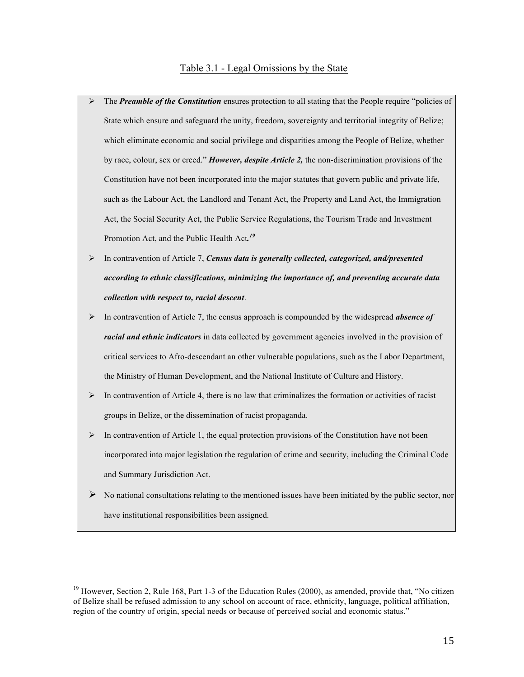#### Table 3.1 - Legal Omissions by the State

- $\triangleright$  The *Preamble of the Constitution* ensures protection to all stating that the People require "policies of State which ensure and safeguard the unity, freedom, sovereignty and territorial integrity of Belize; which eliminate economic and social privilege and disparities among the People of Belize, whether by race, colour, sex or creed." *However, despite Article 2,* the non-discrimination provisions of the Constitution have not been incorporated into the major statutes that govern public and private life, such as the Labour Act, the Landlord and Tenant Act, the Property and Land Act, the Immigration Act, the Social Security Act, the Public Service Regulations, the Tourism Trade and Investment Promotion Act, and the Public Health Act*. 19*
- ! In contravention of Article 7, *Census data is generally collected, categorized, and/presented according to ethnic classifications, minimizing the importance of, and preventing accurate data collection with respect to, racial descent*.
- ! In contravention of Article 7, the census approach is compounded by the widespread *absence of racial and ethnic indicators* in data collected by government agencies involved in the provision of critical services to Afro-descendant an other vulnerable populations, such as the Labor Department, the Ministry of Human Development, and the National Institute of Culture and History.
- $\triangleright$  In contravention of Article 4, there is no law that criminalizes the formation or activities of racist groups in Belize, or the dissemination of racist propaganda.
- $\triangleright$  In contravention of Article 1, the equal protection provisions of the Constitution have not been incorporated into major legislation the regulation of crime and security, including the Criminal Code and Summary Jurisdiction Act.
- $\triangleright$  No national consultations relating to the mentioned issues have been initiated by the public sector, nor have institutional responsibilities been assigned.

 $19$  However, Section 2, Rule 168, Part 1-3 of the Education Rules (2000), as amended, provide that, "No citizen of Belize shall be refused admission to any school on account of race, ethnicity, language, political affiliation, region of the country of origin, special needs or because of perceived social and economic status."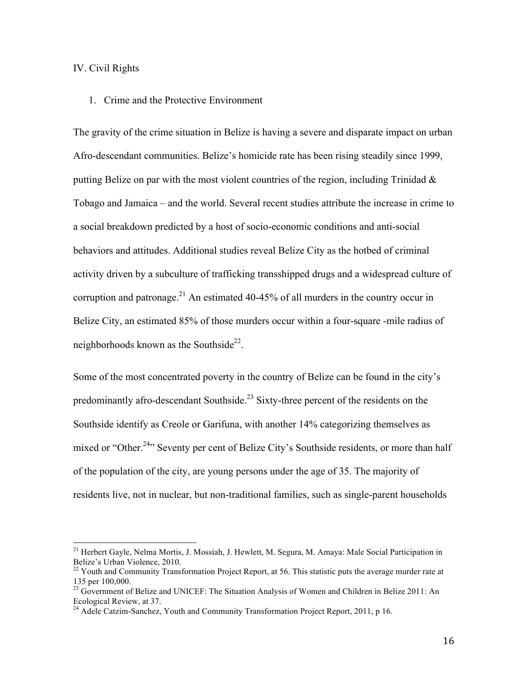## IV. Civil Rights

## 1. Crime and the Protective Environment

The gravity of the crime situation in Belize is having a severe and disparate impact on urban Afro-descendant communities. Belize's homicide rate has been rising steadily since 1999, putting Belize on par with the most violent countries of the region, including Trinidad  $\&$ Tobago and Jamaica – and the world. Several recent studies attribute the increase in crime to a social breakdown predicted by a host of socio-economic conditions and anti-social behaviors and attitudes. Additional studies reveal Belize City as the hotbed of criminal activity driven by a subculture of trafficking transshipped drugs and a widespread culture of corruption and patronage.<sup>21</sup> An estimated 40-45% of all murders in the country occur in Belize City, an estimated 85% of those murders occur within a four-square -mile radius of neighborhoods known as the Southside<sup>22</sup>.

Some of the most concentrated poverty in the country of Belize can be found in the city's predominantly afro-descendant Southside.<sup>23</sup> Sixty-three percent of the residents on the Southside identify as Creole or Garifuna, with another 14% categorizing themselves as mixed or "Other.<sup>24</sup>" Seventy per cent of Belize City's Southside residents, or more than half of the population of the city, are young persons under the age of 35. The majority of residents live, not in nuclear, but non-traditional families, such as single-parent households

<sup>&</sup>lt;sup>21</sup> Herbert Gayle, Nelma Mortis, J. Mossiah, J. Hewlett, M. Segura, M. Amaya: Male Social Participation in Belize's Urban Violence, 2010.

 $22$  Youth and Community Transformation Project Report, at 56. This statistic puts the average murder rate at 135 per 100,000.

<sup>&</sup>lt;sup>23</sup> Government of Belize and UNICEF: The Situation Analysis of Women and Children in Belize 2011: An Ecological Review, at 37.

<sup>&</sup>lt;sup>24</sup> Adele Catzim-Sanchez, Youth and Community Transformation Project Report, 2011, p 16.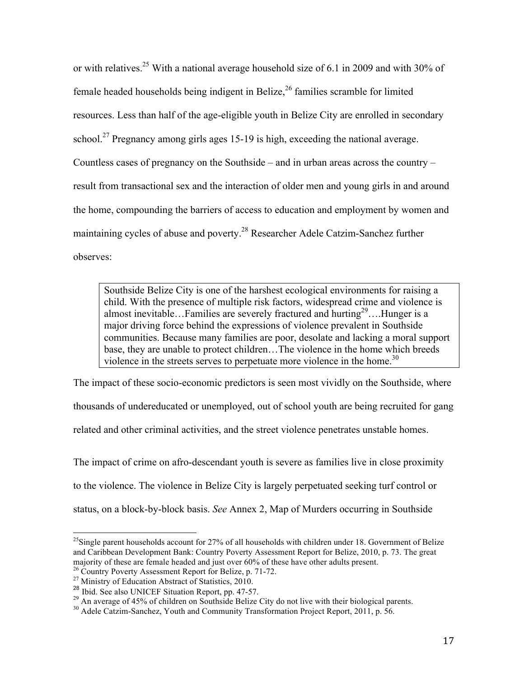or with relatives.<sup>25</sup> With a national average household size of 6.1 in 2009 and with 30% of female headed households being indigent in Belize, $^{26}$  families scramble for limited resources. Less than half of the age-eligible youth in Belize City are enrolled in secondary school.<sup>27</sup> Pregnancy among girls ages 15-19 is high, exceeding the national average. Countless cases of pregnancy on the Southside – and in urban areas across the country – result from transactional sex and the interaction of older men and young girls in and around the home, compounding the barriers of access to education and employment by women and maintaining cycles of abuse and poverty.28 Researcher Adele Catzim-Sanchez further observes:

Southside Belize City is one of the harshest ecological environments for raising a child. With the presence of multiple risk factors, widespread crime and violence is almost inevitable... Families are severely fractured and hurting<sup>29</sup>.... Hunger is a major driving force behind the expressions of violence prevalent in Southside communities. Because many families are poor, desolate and lacking a moral support base, they are unable to protect children…The violence in the home which breeds violence in the streets serves to perpetuate more violence in the home.<sup>30</sup>

The impact of these socio-economic predictors is seen most vividly on the Southside, where thousands of undereducated or unemployed, out of school youth are being recruited for gang related and other criminal activities, and the street violence penetrates unstable homes.

The impact of crime on afro-descendant youth is severe as families live in close proximity to the violence. The violence in Belize City is largely perpetuated seeking turf control or status, on a block-by-block basis. *See* Annex 2, Map of Murders occurring in Southside

<sup>&</sup>lt;sup>25</sup>Single parent households account for 27% of all households with children under 18. Government of Belize and Caribbean Development Bank: Country Poverty Assessment Report for Belize, 2010, p. 73. The great majority of these are female headed and just over  $60\%$  of these have other adults present.<br><sup>26</sup> Country Poverty Assessment Report for Belize, p. 71-72.

<sup>&</sup>lt;sup>27</sup> Ministry of Education Abstract of Statistics, 2010.<br><sup>28</sup> Ibid. See also UNICEF Situation Report, pp. 47-57.<br><sup>29</sup> An average of 45% of children on Southside Belize City do not live with their biological parents.<br><sup>30</sup> A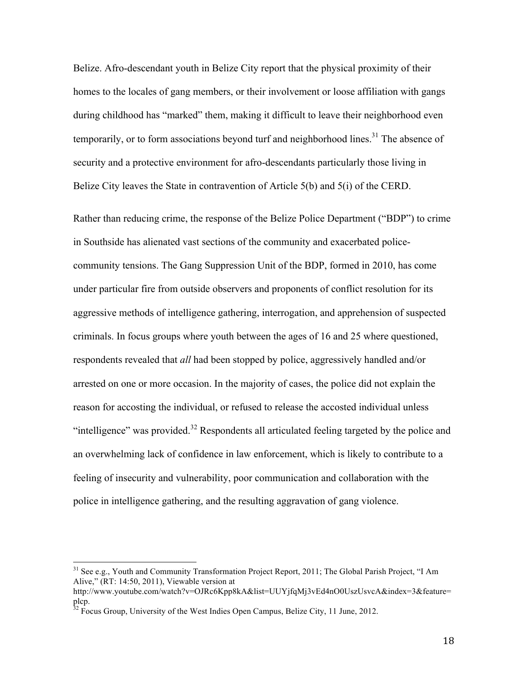Belize. Afro-descendant youth in Belize City report that the physical proximity of their homes to the locales of gang members, or their involvement or loose affiliation with gangs during childhood has "marked" them, making it difficult to leave their neighborhood even temporarily, or to form associations beyond turf and neighborhood lines.<sup>31</sup> The absence of security and a protective environment for afro-descendants particularly those living in Belize City leaves the State in contravention of Article 5(b) and 5(i) of the CERD.

Rather than reducing crime, the response of the Belize Police Department ("BDP") to crime in Southside has alienated vast sections of the community and exacerbated policecommunity tensions. The Gang Suppression Unit of the BDP, formed in 2010, has come under particular fire from outside observers and proponents of conflict resolution for its aggressive methods of intelligence gathering, interrogation, and apprehension of suspected criminals. In focus groups where youth between the ages of 16 and 25 where questioned, respondents revealed that *all* had been stopped by police, aggressively handled and/or arrested on one or more occasion. In the majority of cases, the police did not explain the reason for accosting the individual, or refused to release the accosted individual unless "intelligence" was provided.<sup>32</sup> Respondents all articulated feeling targeted by the police and an overwhelming lack of confidence in law enforcement, which is likely to contribute to a feeling of insecurity and vulnerability, poor communication and collaboration with the police in intelligence gathering, and the resulting aggravation of gang violence.

 $31$  See e.g., Youth and Community Transformation Project Report, 2011; The Global Parish Project, "I Am Alive," (RT: 14:50, 2011), Viewable version at

http://www.youtube.com/watch?v=OJRc6Kpp8kA&list=UUYjfqMj3vEd4nO0UszUsvcA&index=3&feature=  $\n p_{32}^{1cp}$ .

<sup>32</sup> Focus Group, University of the West Indies Open Campus, Belize City, 11 June, 2012.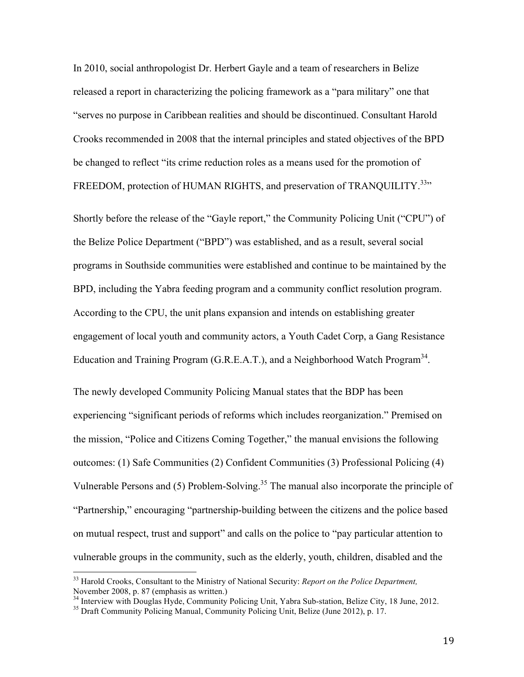In 2010, social anthropologist Dr. Herbert Gayle and a team of researchers in Belize released a report in characterizing the policing framework as a "para military" one that "serves no purpose in Caribbean realities and should be discontinued. Consultant Harold Crooks recommended in 2008 that the internal principles and stated objectives of the BPD be changed to reflect "its crime reduction roles as a means used for the promotion of FREEDOM, protection of HUMAN RIGHTS, and preservation of TRANQUILITY.<sup>33</sup>"

Shortly before the release of the "Gayle report," the Community Policing Unit ("CPU") of the Belize Police Department ("BPD") was established, and as a result, several social programs in Southside communities were established and continue to be maintained by the BPD, including the Yabra feeding program and a community conflict resolution program. According to the CPU, the unit plans expansion and intends on establishing greater engagement of local youth and community actors, a Youth Cadet Corp, a Gang Resistance Education and Training Program  $(G.R.E.A.T.)$ , and a Neighborhood Watch Program<sup>34</sup>.

The newly developed Community Policing Manual states that the BDP has been experiencing "significant periods of reforms which includes reorganization." Premised on the mission, "Police and Citizens Coming Together," the manual envisions the following outcomes: (1) Safe Communities (2) Confident Communities (3) Professional Policing (4) Vulnerable Persons and (5) Problem-Solving.<sup>35</sup> The manual also incorporate the principle of "Partnership," encouraging "partnership-building between the citizens and the police based on mutual respect, trust and support" and calls on the police to "pay particular attention to vulnerable groups in the community, such as the elderly, youth, children, disabled and the

<sup>&</sup>lt;sup>33</sup> Harold Crooks, Consultant to the Ministry of National Security: *Report on the Police Department*, November 2008, p. 87 (emphasis as written.)<br>
<sup>34</sup> Interview with Douglas Hyde, Community Policing Unit, Yabra Sub-station, Belize City, 18 June, 2012.<br>
<sup>35</sup> Draft Community Policing Manual, Community Policing Unit, Belize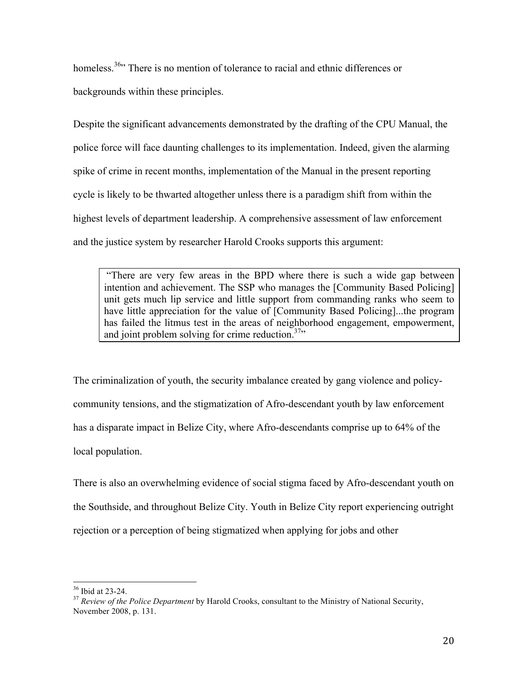homeless.<sup>36</sup> There is no mention of tolerance to racial and ethnic differences or backgrounds within these principles.

Despite the significant advancements demonstrated by the drafting of the CPU Manual, the police force will face daunting challenges to its implementation. Indeed, given the alarming spike of crime in recent months, implementation of the Manual in the present reporting cycle is likely to be thwarted altogether unless there is a paradigm shift from within the highest levels of department leadership. A comprehensive assessment of law enforcement and the justice system by researcher Harold Crooks supports this argument:

"There are very few areas in the BPD where there is such a wide gap between intention and achievement. The SSP who manages the [Community Based Policing] unit gets much lip service and little support from commanding ranks who seem to have little appreciation for the value of [Community Based Policing]...the program has failed the litmus test in the areas of neighborhood engagement, empowerment, and joint problem solving for crime reduction. $37$ 

The criminalization of youth, the security imbalance created by gang violence and policycommunity tensions, and the stigmatization of Afro-descendant youth by law enforcement has a disparate impact in Belize City, where Afro-descendants comprise up to 64% of the local population.

There is also an overwhelming evidence of social stigma faced by Afro-descendant youth on the Southside, and throughout Belize City. Youth in Belize City report experiencing outright rejection or a perception of being stigmatized when applying for jobs and other

<sup>&</sup>lt;sup>36</sup> Ibid at 23-24.<br><sup>37</sup> *Review of the Police Department* by Harold Crooks, consultant to the Ministry of National Security, November 2008, p. 131.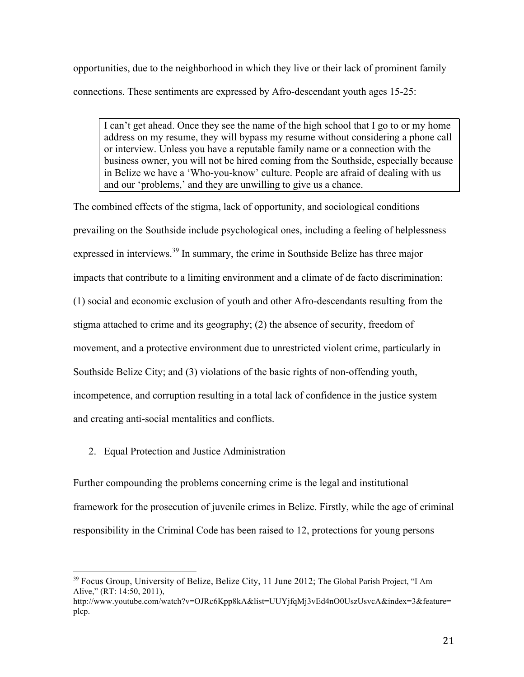opportunities, due to the neighborhood in which they live or their lack of prominent family connections. These sentiments are expressed by Afro-descendant youth ages 15-25:

I can't get ahead. Once they see the name of the high school that I go to or my home address on my resume, they will bypass my resume without considering a phone call or interview. Unless you have a reputable family name or a connection with the business owner, you will not be hired coming from the Southside, especially because in Belize we have a 'Who-you-know' culture. People are afraid of dealing with us and our 'problems,' and they are unwilling to give us a chance.

The combined effects of the stigma, lack of opportunity, and sociological conditions prevailing on the Southside include psychological ones, including a feeling of helplessness expressed in interviews.<sup>39</sup> In summary, the crime in Southside Belize has three major impacts that contribute to a limiting environment and a climate of de facto discrimination: (1) social and economic exclusion of youth and other Afro-descendants resulting from the stigma attached to crime and its geography; (2) the absence of security, freedom of movement, and a protective environment due to unrestricted violent crime, particularly in Southside Belize City; and (3) violations of the basic rights of non-offending youth, incompetence, and corruption resulting in a total lack of confidence in the justice system and creating anti-social mentalities and conflicts.

2. Equal Protection and Justice Administration

!!!!!!!!!!!!!!!!!!!!!!!!!!!!!!!!!!!!!!!!!!!!!!!!!!!!!!!

Further compounding the problems concerning crime is the legal and institutional framework for the prosecution of juvenile crimes in Belize. Firstly, while the age of criminal responsibility in the Criminal Code has been raised to 12, protections for young persons

<sup>&</sup>lt;sup>39</sup> Focus Group, University of Belize, Belize City, 11 June 2012; The Global Parish Project, "I Am Alive," (RT: 14:50, 2011),

http://www.youtube.com/watch?v=OJRc6Kpp8kA&list=UUYjfqMj3vEd4nO0UszUsvcA&index=3&feature= plcp.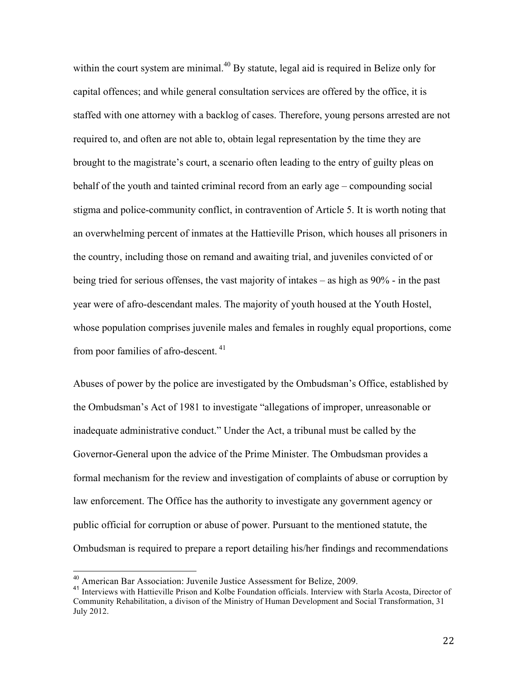within the court system are minimal.<sup>40</sup> By statute, legal aid is required in Belize only for capital offences; and while general consultation services are offered by the office, it is staffed with one attorney with a backlog of cases. Therefore, young persons arrested are not required to, and often are not able to, obtain legal representation by the time they are brought to the magistrate's court, a scenario often leading to the entry of guilty pleas on behalf of the youth and tainted criminal record from an early age – compounding social stigma and police-community conflict, in contravention of Article 5. It is worth noting that an overwhelming percent of inmates at the Hattieville Prison, which houses all prisoners in the country, including those on remand and awaiting trial, and juveniles convicted of or being tried for serious offenses, the vast majority of intakes – as high as 90% - in the past year were of afro-descendant males. The majority of youth housed at the Youth Hostel, whose population comprises juvenile males and females in roughly equal proportions, come from poor families of afro-descent.<sup>41</sup>

Abuses of power by the police are investigated by the Ombudsman's Office, established by the Ombudsman's Act of 1981 to investigate "allegations of improper, unreasonable or inadequate administrative conduct." Under the Act, a tribunal must be called by the Governor-General upon the advice of the Prime Minister. The Ombudsman provides a formal mechanism for the review and investigation of complaints of abuse or corruption by law enforcement. The Office has the authority to investigate any government agency or public official for corruption or abuse of power. Pursuant to the mentioned statute, the Ombudsman is required to prepare a report detailing his/her findings and recommendations

<sup>&</sup>lt;sup>40</sup> American Bar Association: Juvenile Justice Assessment for Belize, 2009.<br><sup>41</sup> Interviews with Hattieville Prison and Kolbe Foundation officials. Interview with Starla Acosta, Director of Community Rehabilitation, a divison of the Ministry of Human Development and Social Transformation, 31 July 2012.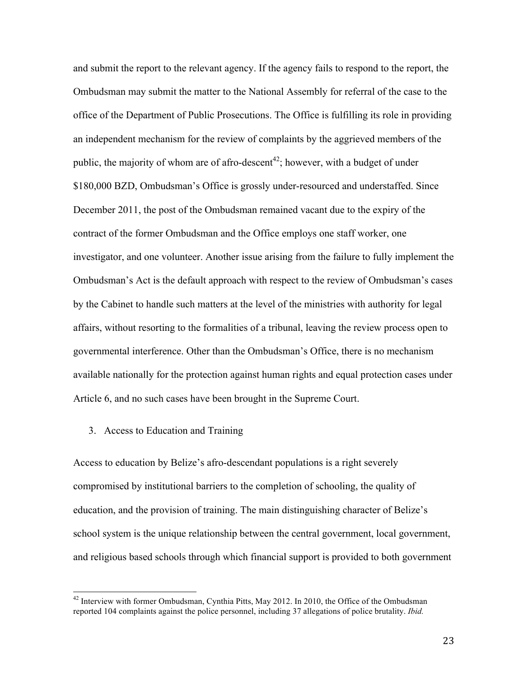and submit the report to the relevant agency. If the agency fails to respond to the report, the Ombudsman may submit the matter to the National Assembly for referral of the case to the office of the Department of Public Prosecutions. The Office is fulfilling its role in providing an independent mechanism for the review of complaints by the aggrieved members of the public, the majority of whom are of afro-descent<sup>42</sup>; however, with a budget of under \$180,000 BZD, Ombudsman's Office is grossly under-resourced and understaffed. Since December 2011, the post of the Ombudsman remained vacant due to the expiry of the contract of the former Ombudsman and the Office employs one staff worker, one investigator, and one volunteer. Another issue arising from the failure to fully implement the Ombudsman's Act is the default approach with respect to the review of Ombudsman's cases by the Cabinet to handle such matters at the level of the ministries with authority for legal affairs, without resorting to the formalities of a tribunal, leaving the review process open to governmental interference. Other than the Ombudsman's Office, there is no mechanism available nationally for the protection against human rights and equal protection cases under Article 6, and no such cases have been brought in the Supreme Court.

## 3. Access to Education and Training

Access to education by Belize's afro-descendant populations is a right severely compromised by institutional barriers to the completion of schooling, the quality of education, and the provision of training. The main distinguishing character of Belize's school system is the unique relationship between the central government, local government, and religious based schools through which financial support is provided to both government

<sup>&</sup>lt;sup>42</sup> Interview with former Ombudsman, Cynthia Pitts, May 2012. In 2010, the Office of the Ombudsman reported 104 complaints against the police personnel, including 37 allegations of police brutality. *Ibid.*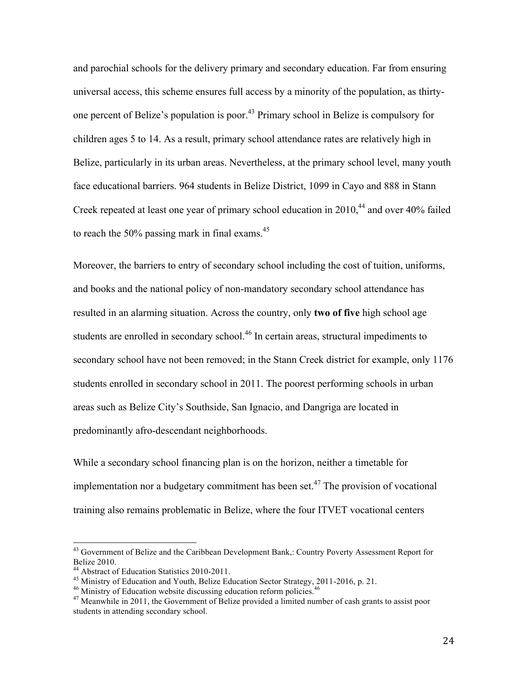and parochial schools for the delivery primary and secondary education. Far from ensuring universal access, this scheme ensures full access by a minority of the population, as thirtyone percent of Belize's population is poor.<sup>43</sup> Primary school in Belize is compulsory for children ages 5 to 14. As a result, primary school attendance rates are relatively high in Belize, particularly in its urban areas. Nevertheless, at the primary school level, many youth face educational barriers. 964 students in Belize District, 1099 in Cayo and 888 in Stann Creek repeated at least one year of primary school education in  $2010<sup>44</sup>$  and over 40% failed to reach the 50% passing mark in final exams. $45$ 

Moreover, the barriers to entry of secondary school including the cost of tuition, uniforms, and books and the national policy of non-mandatory secondary school attendance has resulted in an alarming situation. Across the country, only **two of five** high school age students are enrolled in secondary school.<sup>46</sup> In certain areas, structural impediments to secondary school have not been removed; in the Stann Creek district for example, only 1176 students enrolled in secondary school in 2011. The poorest performing schools in urban areas such as Belize City's Southside, San Ignacio, and Dangriga are located in predominantly afro-descendant neighborhoods.

While a secondary school financing plan is on the horizon, neither a timetable for implementation nor a budgetary commitment has been set.<sup>47</sup> The provision of vocational training also remains problematic in Belize, where the four ITVET vocational centers

<sup>&</sup>lt;sup>43</sup> Government of Belize and the Caribbean Development Bank,: Country Poverty Assessment Report for Belize 2010.<br><sup>44</sup> Abstract of Education Statistics 2010-2011.<br><sup>45</sup> Ministry of Education and Youth, Belize Education Sector Strategy, 2011-2016, p. 21.<br><sup>46</sup> Ministry of Education website discussing education reform policie

<sup>&</sup>lt;sup>47</sup> Meanwhile in 2011, the Government of Belize provided a limited number of cash grants to assist poor students in attending secondary school.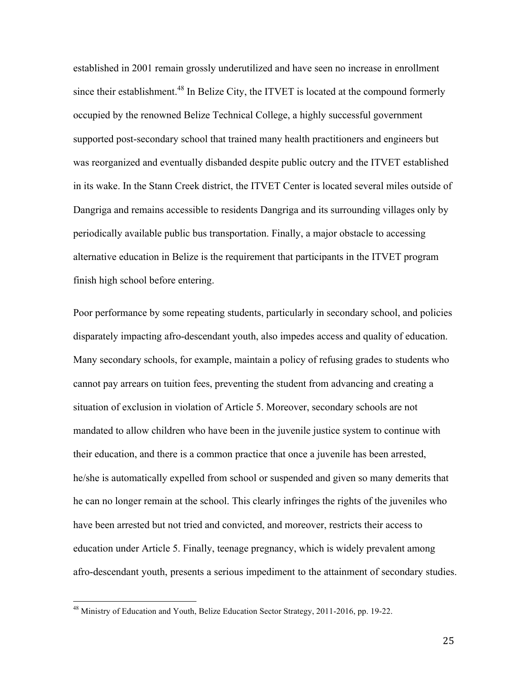established in 2001 remain grossly underutilized and have seen no increase in enrollment since their establishment.<sup>48</sup> In Belize City, the ITVET is located at the compound formerly occupied by the renowned Belize Technical College, a highly successful government supported post-secondary school that trained many health practitioners and engineers but was reorganized and eventually disbanded despite public outcry and the ITVET established in its wake. In the Stann Creek district, the ITVET Center is located several miles outside of Dangriga and remains accessible to residents Dangriga and its surrounding villages only by periodically available public bus transportation. Finally, a major obstacle to accessing alternative education in Belize is the requirement that participants in the ITVET program finish high school before entering.

Poor performance by some repeating students, particularly in secondary school, and policies disparately impacting afro-descendant youth, also impedes access and quality of education. Many secondary schools, for example, maintain a policy of refusing grades to students who cannot pay arrears on tuition fees, preventing the student from advancing and creating a situation of exclusion in violation of Article 5. Moreover, secondary schools are not mandated to allow children who have been in the juvenile justice system to continue with their education, and there is a common practice that once a juvenile has been arrested, he/she is automatically expelled from school or suspended and given so many demerits that he can no longer remain at the school. This clearly infringes the rights of the juveniles who have been arrested but not tried and convicted, and moreover, restricts their access to education under Article 5. Finally, teenage pregnancy, which is widely prevalent among afro-descendant youth, presents a serious impediment to the attainment of secondary studies.

<sup>&</sup>lt;sup>48</sup> Ministry of Education and Youth, Belize Education Sector Strategy, 2011-2016, pp. 19-22.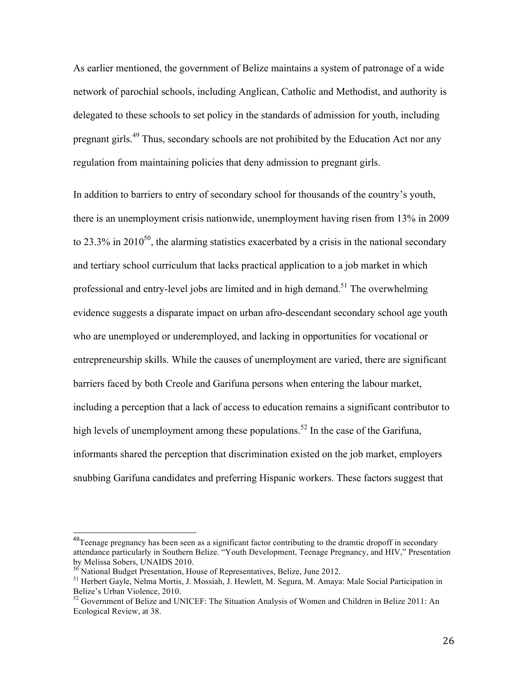As earlier mentioned, the government of Belize maintains a system of patronage of a wide network of parochial schools, including Anglican, Catholic and Methodist, and authority is delegated to these schools to set policy in the standards of admission for youth, including pregnant girls.<sup>49</sup> Thus, secondary schools are not prohibited by the Education Act nor any regulation from maintaining policies that deny admission to pregnant girls.

In addition to barriers to entry of secondary school for thousands of the country's youth, there is an unemployment crisis nationwide, unemployment having risen from 13% in 2009 to 23.3% in 2010<sup>50</sup>, the alarming statistics exacerbated by a crisis in the national secondary and tertiary school curriculum that lacks practical application to a job market in which professional and entry-level jobs are limited and in high demand.<sup>51</sup> The overwhelming evidence suggests a disparate impact on urban afro-descendant secondary school age youth who are unemployed or underemployed, and lacking in opportunities for vocational or entrepreneurship skills. While the causes of unemployment are varied, there are significant barriers faced by both Creole and Garifuna persons when entering the labour market, including a perception that a lack of access to education remains a significant contributor to high levels of unemployment among these populations.<sup>52</sup> In the case of the Garifuna, informants shared the perception that discrimination existed on the job market, employers snubbing Garifuna candidates and preferring Hispanic workers. These factors suggest that

<sup>&</sup>lt;sup>49</sup>Teenage pregnancy has been seen as a significant factor contributing to the dramtic dropoff in secondary attendance particularly in Southern Belize. "Youth Development, Teenage Pregnancy, and HIV," Presentation by Melissa Sobers, UNAIDS 2010.<br><sup>50</sup> National Budget Presentation, House of Representatives, Belize, June 2012.<br><sup>51</sup> Herbert Gayle, Nelma Mortis, J. Mossiah, J. Hewlett, M. Segura, M. Amaya: Male Social Participation in

Belize's Urban Violence, 2010.

<sup>&</sup>lt;sup>52</sup> Government of Belize and UNICEF: The Situation Analysis of Women and Children in Belize 2011: An Ecological Review, at 38.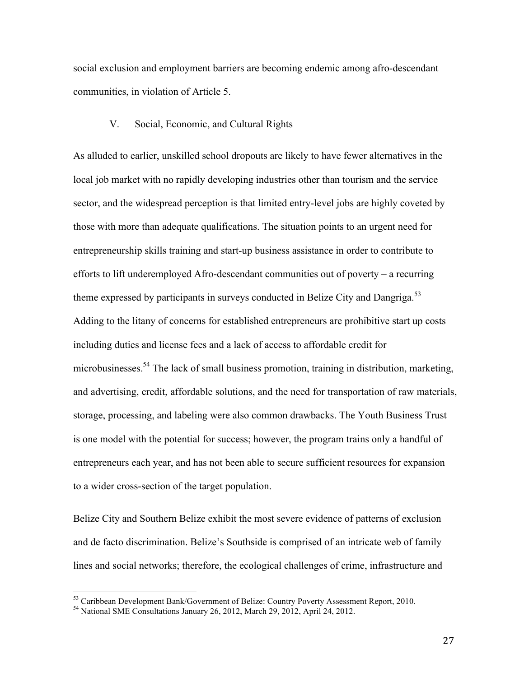social exclusion and employment barriers are becoming endemic among afro-descendant communities, in violation of Article 5.

## V. Social, Economic, and Cultural Rights

As alluded to earlier, unskilled school dropouts are likely to have fewer alternatives in the local job market with no rapidly developing industries other than tourism and the service sector, and the widespread perception is that limited entry-level jobs are highly coveted by those with more than adequate qualifications. The situation points to an urgent need for entrepreneurship skills training and start-up business assistance in order to contribute to efforts to lift underemployed Afro-descendant communities out of poverty – a recurring theme expressed by participants in surveys conducted in Belize City and Dangriga.<sup>53</sup> Adding to the litany of concerns for established entrepreneurs are prohibitive start up costs including duties and license fees and a lack of access to affordable credit for microbusinesses.<sup>54</sup> The lack of small business promotion, training in distribution, marketing, and advertising, credit, affordable solutions, and the need for transportation of raw materials, storage, processing, and labeling were also common drawbacks. The Youth Business Trust is one model with the potential for success; however, the program trains only a handful of entrepreneurs each year, and has not been able to secure sufficient resources for expansion to a wider cross-section of the target population.

Belize City and Southern Belize exhibit the most severe evidence of patterns of exclusion and de facto discrimination. Belize's Southside is comprised of an intricate web of family lines and social networks; therefore, the ecological challenges of crime, infrastructure and

 $^{53}$  Caribbean Development Bank/Government of Belize: Country Poverty Assessment Report, 2010.<br><sup>54</sup> National SME Consultations January 26, 2012, March 29, 2012, April 24, 2012.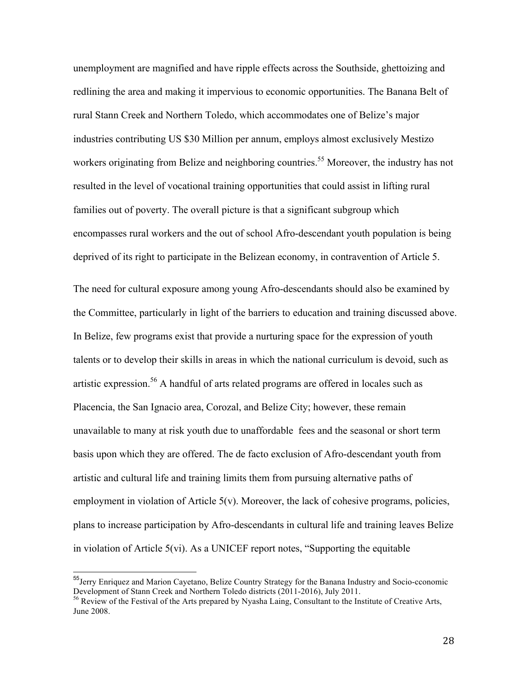unemployment are magnified and have ripple effects across the Southside, ghettoizing and redlining the area and making it impervious to economic opportunities. The Banana Belt of rural Stann Creek and Northern Toledo, which accommodates one of Belize's major industries contributing US \$30 Million per annum, employs almost exclusively Mestizo workers originating from Belize and neighboring countries.<sup>55</sup> Moreover, the industry has not resulted in the level of vocational training opportunities that could assist in lifting rural families out of poverty. The overall picture is that a significant subgroup which encompasses rural workers and the out of school Afro-descendant youth population is being deprived of its right to participate in the Belizean economy, in contravention of Article 5.

The need for cultural exposure among young Afro-descendants should also be examined by the Committee, particularly in light of the barriers to education and training discussed above. In Belize, few programs exist that provide a nurturing space for the expression of youth talents or to develop their skills in areas in which the national curriculum is devoid, such as artistic expression.<sup>56</sup> A handful of arts related programs are offered in locales such as Placencia, the San Ignacio area, Corozal, and Belize City; however, these remain unavailable to many at risk youth due to unaffordable fees and the seasonal or short term basis upon which they are offered. The de facto exclusion of Afro-descendant youth from artistic and cultural life and training limits them from pursuing alternative paths of employment in violation of Article 5(v). Moreover, the lack of cohesive programs, policies, plans to increase participation by Afro-descendants in cultural life and training leaves Belize in violation of Article 5(vi). As a UNICEF report notes, "Supporting the equitable

<sup>&</sup>lt;sup>55</sup> Jerry Enriquez and Marion Cayetano, Belize Country Strategy for the Banana Industry and Socio-cconomic Development of Stann Creek and Northern Toledo districts (2011-2016), July 2011.<br><sup>56</sup> Review of the Festival of the Arts prepared by Nyasha Laing, Consultant to the Institute of Creative Arts,

June 2008.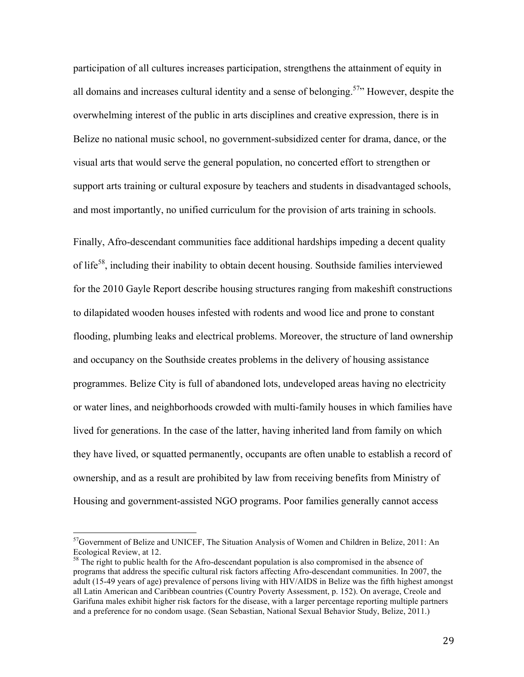participation of all cultures increases participation, strengthens the attainment of equity in all domains and increases cultural identity and a sense of belonging.<sup>57</sup> However, despite the overwhelming interest of the public in arts disciplines and creative expression, there is in Belize no national music school, no government-subsidized center for drama, dance, or the visual arts that would serve the general population, no concerted effort to strengthen or support arts training or cultural exposure by teachers and students in disadvantaged schools, and most importantly, no unified curriculum for the provision of arts training in schools.

Finally, Afro-descendant communities face additional hardships impeding a decent quality of life58, including their inability to obtain decent housing. Southside families interviewed for the 2010 Gayle Report describe housing structures ranging from makeshift constructions to dilapidated wooden houses infested with rodents and wood lice and prone to constant flooding, plumbing leaks and electrical problems. Moreover, the structure of land ownership and occupancy on the Southside creates problems in the delivery of housing assistance programmes. Belize City is full of abandoned lots, undeveloped areas having no electricity or water lines, and neighborhoods crowded with multi-family houses in which families have lived for generations. In the case of the latter, having inherited land from family on which they have lived, or squatted permanently, occupants are often unable to establish a record of ownership, and as a result are prohibited by law from receiving benefits from Ministry of Housing and government-assisted NGO programs. Poor families generally cannot access

 $<sup>57</sup>$ Government of Belize and UNICEF, The Situation Analysis of Women and Children in Belize, 2011: An</sup> Ecological Review, at 12.<br><sup>58</sup> The right to public health for the Afro-descendant population is also compromised in the absence of

programs that address the specific cultural risk factors affecting Afro-descendant communities. In 2007, the adult (15-49 years of age) prevalence of persons living with HIV/AIDS in Belize was the fifth highest amongst all Latin American and Caribbean countries (Country Poverty Assessment, p. 152). On average, Creole and Garifuna males exhibit higher risk factors for the disease, with a larger percentage reporting multiple partners and a preference for no condom usage. (Sean Sebastian, National Sexual Behavior Study, Belize, 2011.)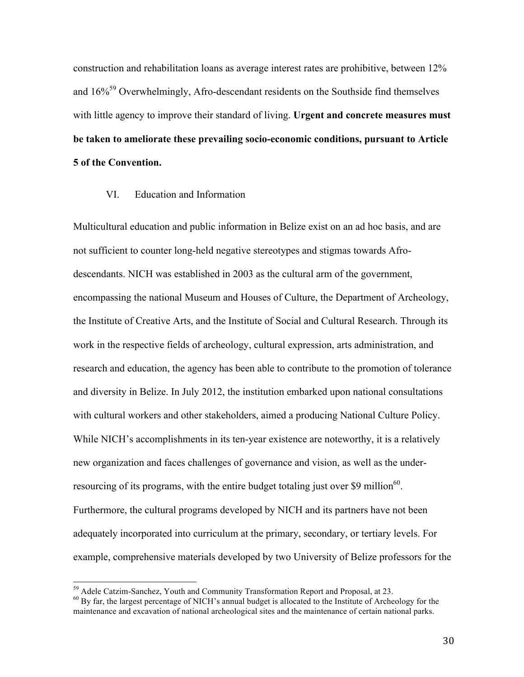construction and rehabilitation loans as average interest rates are prohibitive, between 12% and  $16\%$ <sup>59</sup> Overwhelmingly, Afro-descendant residents on the Southside find themselves with little agency to improve their standard of living. **Urgent and concrete measures must be taken to ameliorate these prevailing socio-economic conditions, pursuant to Article 5 of the Convention.** 

#### VI. Education and Information

Multicultural education and public information in Belize exist on an ad hoc basis, and are not sufficient to counter long-held negative stereotypes and stigmas towards Afrodescendants. NICH was established in 2003 as the cultural arm of the government, encompassing the national Museum and Houses of Culture, the Department of Archeology, the Institute of Creative Arts, and the Institute of Social and Cultural Research. Through its work in the respective fields of archeology, cultural expression, arts administration, and research and education, the agency has been able to contribute to the promotion of tolerance and diversity in Belize. In July 2012, the institution embarked upon national consultations with cultural workers and other stakeholders, aimed a producing National Culture Policy. While NICH's accomplishments in its ten-year existence are noteworthy, it is a relatively new organization and faces challenges of governance and vision, as well as the underresourcing of its programs, with the entire budget totaling just over \$9 million $60$ . Furthermore, the cultural programs developed by NICH and its partners have not been adequately incorporated into curriculum at the primary, secondary, or tertiary levels. For example, comprehensive materials developed by two University of Belize professors for the

 $^{59}$  Adele Catzim-Sanchez, Youth and Community Transformation Report and Proposal, at 23.<br><sup>60</sup> By far, the largest percentage of NICH's annual budget is allocated to the Institute of Archeology for the maintenance and excavation of national archeological sites and the maintenance of certain national parks.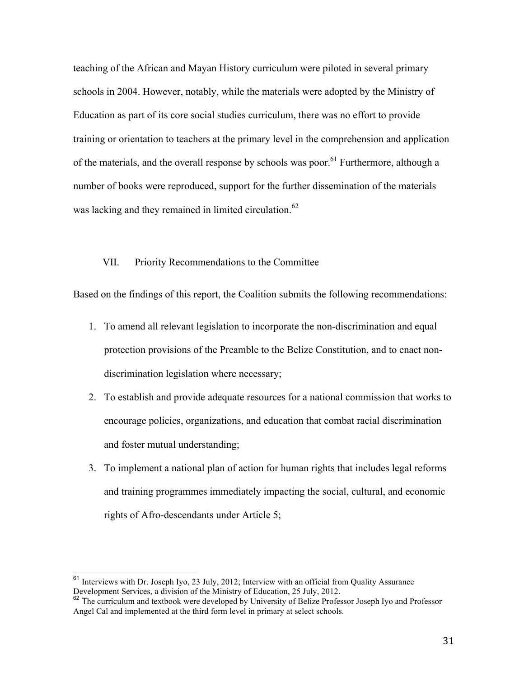teaching of the African and Mayan History curriculum were piloted in several primary schools in 2004. However, notably, while the materials were adopted by the Ministry of Education as part of its core social studies curriculum, there was no effort to provide training or orientation to teachers at the primary level in the comprehension and application of the materials, and the overall response by schools was poor.<sup>61</sup> Furthermore, although a number of books were reproduced, support for the further dissemination of the materials was lacking and they remained in limited circulation.<sup>62</sup>

### VII. Priority Recommendations to the Committee

Based on the findings of this report, the Coalition submits the following recommendations:

- 1. To amend all relevant legislation to incorporate the non-discrimination and equal protection provisions of the Preamble to the Belize Constitution, and to enact nondiscrimination legislation where necessary;
- 2. To establish and provide adequate resources for a national commission that works to encourage policies, organizations, and education that combat racial discrimination and foster mutual understanding;
- 3. To implement a national plan of action for human rights that includes legal reforms and training programmes immediately impacting the social, cultural, and economic rights of Afro-descendants under Article 5;

 $61$  Interviews with Dr. Joseph Iyo, 23 July, 2012; Interview with an official from Quality Assurance Development Services, a division of the Ministry of Education, 25 July, 2012.<br><sup>62</sup> The curriculum and textbook were developed by University of Belize Professor Joseph Iyo and Professor

Angel Cal and implemented at the third form level in primary at select schools.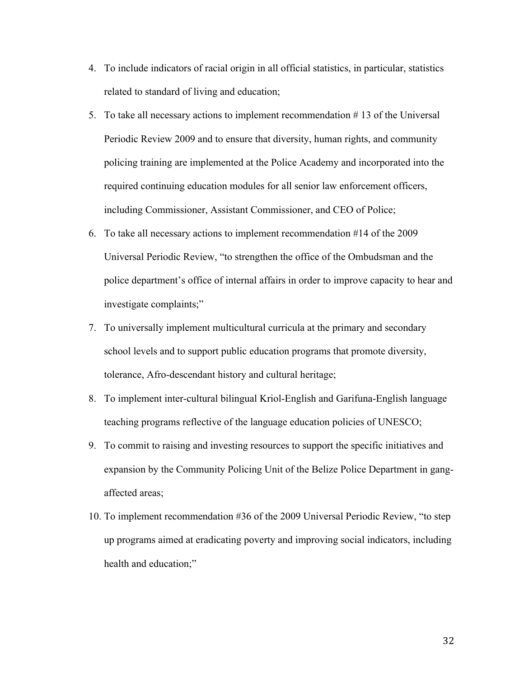- 4. To include indicators of racial origin in all official statistics, in particular, statistics related to standard of living and education;
- 5. To take all necessary actions to implement recommendation # 13 of the Universal Periodic Review 2009 and to ensure that diversity, human rights, and community policing training are implemented at the Police Academy and incorporated into the required continuing education modules for all senior law enforcement officers, including Commissioner, Assistant Commissioner, and CEO of Police;
- 6. To take all necessary actions to implement recommendation #14 of the 2009 Universal Periodic Review, "to strengthen the office of the Ombudsman and the police department's office of internal affairs in order to improve capacity to hear and investigate complaints;"
- 7. To universally implement multicultural curricula at the primary and secondary school levels and to support public education programs that promote diversity, tolerance, Afro-descendant history and cultural heritage;
- 8. To implement inter-cultural bilingual Kriol-English and Garifuna-English language teaching programs reflective of the language education policies of UNESCO;
- 9. To commit to raising and investing resources to support the specific initiatives and expansion by the Community Policing Unit of the Belize Police Department in gangaffected areas;
- 10. To implement recommendation #36 of the 2009 Universal Periodic Review, "to step up programs aimed at eradicating poverty and improving social indicators, including health and education;"